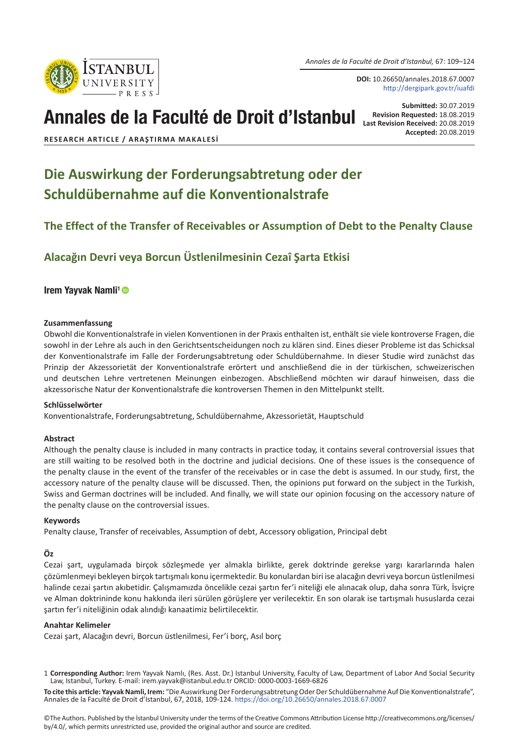*Annales de la Faculté de Droit d'Istanbul,* 67: 109–124

**DOI:** 10.26650/annales.2018.67.0007 http://dergipark.gov.tr/iuafdi

# Annales de la Faculté de Droit d'Istanbul

**Submitted:** 30.07.2019<br>**Revision Requested:** 18.08.2019 **Revision Requested:** 18.08.2019 **Last Revision Received:** 20.08.2019 **Accepted:** 20.08.2019

**RESEARCH ARTICLE / ARAŞTIRMA MAKALESI**

## **Die Auswirkung der Forderungsabtretung oder der Schuldübernahme auf die Konventionalstrafe**

## **The Effect of the Transfer of Receivables or Assumption of Debt to the Penalty Clause**

## **Alacağın Devri veya Borcun Üstlenilmesinin Cezaî Şarta Etkisi**

#### Irem Yavvak Namli<sup>1</sup> ®

#### **Zusammenfassung**

Obwohl die Konventionalstrafe in vielen Konventionen in der Praxis enthalten ist, enthält sie viele kontroverse Fragen, die sowohl in der Lehre als auch in den Gerichtsentscheidungen noch zu klären sind. Eines dieser Probleme ist das Schicksal der Konventionalstrafe im Falle der Forderungsabtretung oder Schuldübernahme. In dieser Studie wird zunächst das Prinzip der Akzessorietät der Konventionalstrafe erörtert und anschließend die in der türkischen, schweizerischen und deutschen Lehre vertretenen Meinungen einbezogen. Abschließend möchten wir darauf hinweisen, dass die akzessorische Natur der Konventionalstrafe die kontroversen Themen in den Mittelpunkt stellt.

#### **Schlüsselwörter**

Konventionalstrafe, Forderungsabtretung, Schuldübernahme, Akzessorietät, Hauptschuld

#### **Abstract**

Although the penalty clause is included in many contracts in practice today, it contains several controversial issues that are still waiting to be resolved both in the doctrine and judicial decisions. One of these issues is the consequence of the penalty clause in the event of the transfer of the receivables or in case the debt is assumed. In our study, first, the accessory nature of the penalty clause will be discussed. Then, the opinions put forward on the subject in the Turkish, Swiss and German doctrines will be included. And finally, we will state our opinion focusing on the accessory nature of the penalty clause on the controversial issues.

#### **Keywords**

Penalty clause, Transfer of receivables, Assumption of debt, Accessory obligation, Principal debt

#### **Öz**

Cezai şart, uygulamada birçok sözleşmede yer almakla birlikte, gerek doktrinde gerekse yargı kararlarında halen çözümlenmeyi bekleyen birçok tartışmalı konu içermektedir. Bu konulardan biri ise alacağın devri veya borcun üstlenilmesi halinde cezai şartın akıbetidir. Çalışmamızda öncelikle cezai şartın fer'i niteliği ele alınacak olup, daha sonra Türk, İsviçre ve Alman doktrininde konu hakkında ileri sürülen görüşlere yer verilecektir. En son olarak ise tartışmalı hususlarda cezai şartın fer'i niteliğinin odak alındığı kanaatimiz belirtilecektir.

#### **Anahtar Kelimeler**

Cezai şart, Alacağın devri, Borcun üstlenilmesi, Fer'i borç, Asıl borç

©The Authors. Published by the İstanbul University under the terms of the Creative Commons Attribution License http://creativecommons.org/licenses/ by/4.0/, which permits unrestricted use, provided the original author and source are credited.



<sup>1</sup> **Corresponding Author:** Irem Yayvak Namlı, (Res. Asst. Dr.) Istanbul University, Faculty of Law, Department of Labor And Social Security Law, Istanbul, Turkey. E-mail: irem.yayvak@istanbul.edu.tr ORCID: 0000-0003-1669-6826

**To cite this article: Yayvak Namli, Irem:** "Die Auswirkung Der Forderungsabtretung Oder Der Schuldübernahme Auf Die Konventionalstrafe", Annales de la Faculté de Droit d'Istanbul, 67, 2018, 109-124. <https://doi.org/10.26650/annales.2018.67.0007>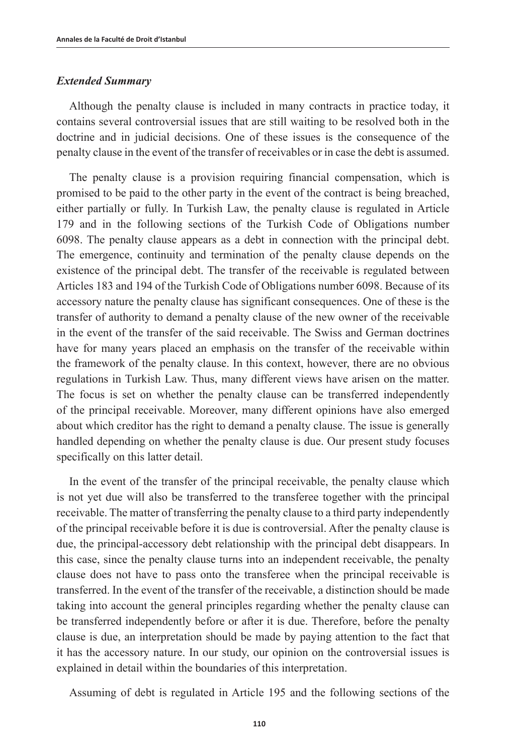#### *Extended Summary*

Although the penalty clause is included in many contracts in practice today, it contains several controversial issues that are still waiting to be resolved both in the doctrine and in judicial decisions. One of these issues is the consequence of the penalty clause in the event of the transfer of receivables or in case the debt is assumed.

The penalty clause is a provision requiring financial compensation, which is promised to be paid to the other party in the event of the contract is being breached, either partially or fully. In Turkish Law, the penalty clause is regulated in Article 179 and in the following sections of the Turkish Code of Obligations number 6098. The penalty clause appears as a debt in connection with the principal debt. The emergence, continuity and termination of the penalty clause depends on the existence of the principal debt. The transfer of the receivable is regulated between Articles 183 and 194 of the Turkish Code of Obligations number 6098. Because of its accessory nature the penalty clause has significant consequences. One of these is the transfer of authority to demand a penalty clause of the new owner of the receivable in the event of the transfer of the said receivable. The Swiss and German doctrines have for many years placed an emphasis on the transfer of the receivable within the framework of the penalty clause. In this context, however, there are no obvious regulations in Turkish Law. Thus, many different views have arisen on the matter. The focus is set on whether the penalty clause can be transferred independently of the principal receivable. Moreover, many different opinions have also emerged about which creditor has the right to demand a penalty clause. The issue is generally handled depending on whether the penalty clause is due. Our present study focuses specifically on this latter detail.

In the event of the transfer of the principal receivable, the penalty clause which is not yet due will also be transferred to the transferee together with the principal receivable. The matter of transferring the penalty clause to a third party independently of the principal receivable before it is due is controversial. After the penalty clause is due, the principal-accessory debt relationship with the principal debt disappears. In this case, since the penalty clause turns into an independent receivable, the penalty clause does not have to pass onto the transferee when the principal receivable is transferred. In the event of the transfer of the receivable, a distinction should be made taking into account the general principles regarding whether the penalty clause can be transferred independently before or after it is due. Therefore, before the penalty clause is due, an interpretation should be made by paying attention to the fact that it has the accessory nature. In our study, our opinion on the controversial issues is explained in detail within the boundaries of this interpretation.

Assuming of debt is regulated in Article 195 and the following sections of the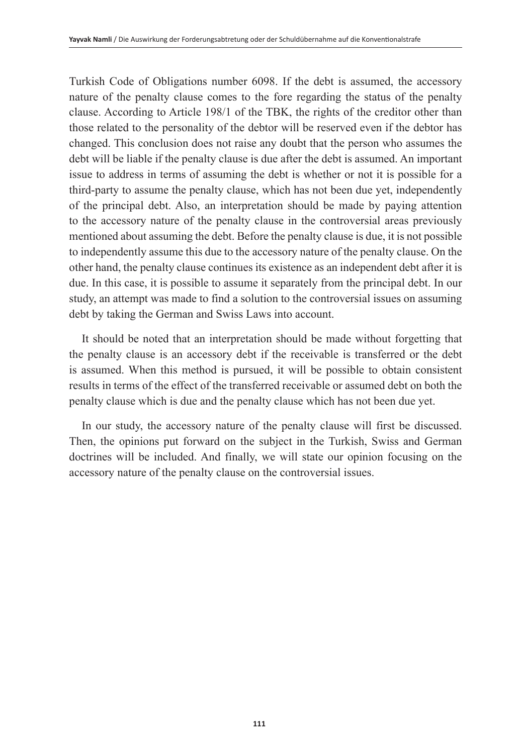Turkish Code of Obligations number 6098. If the debt is assumed, the accessory nature of the penalty clause comes to the fore regarding the status of the penalty clause. According to Article 198/1 of the TBK, the rights of the creditor other than those related to the personality of the debtor will be reserved even if the debtor has changed. This conclusion does not raise any doubt that the person who assumes the debt will be liable if the penalty clause is due after the debt is assumed. An important issue to address in terms of assuming the debt is whether or not it is possible for a third-party to assume the penalty clause, which has not been due yet, independently of the principal debt. Also, an interpretation should be made by paying attention to the accessory nature of the penalty clause in the controversial areas previously mentioned about assuming the debt. Before the penalty clause is due, it is not possible to independently assume this due to the accessory nature of the penalty clause. On the other hand, the penalty clause continues its existence as an independent debt after it is due. In this case, it is possible to assume it separately from the principal debt. In our study, an attempt was made to find a solution to the controversial issues on assuming debt by taking the German and Swiss Laws into account.

It should be noted that an interpretation should be made without forgetting that the penalty clause is an accessory debt if the receivable is transferred or the debt is assumed. When this method is pursued, it will be possible to obtain consistent results in terms of the effect of the transferred receivable or assumed debt on both the penalty clause which is due and the penalty clause which has not been due yet.

In our study, the accessory nature of the penalty clause will first be discussed. Then, the opinions put forward on the subject in the Turkish, Swiss and German doctrines will be included. And finally, we will state our opinion focusing on the accessory nature of the penalty clause on the controversial issues.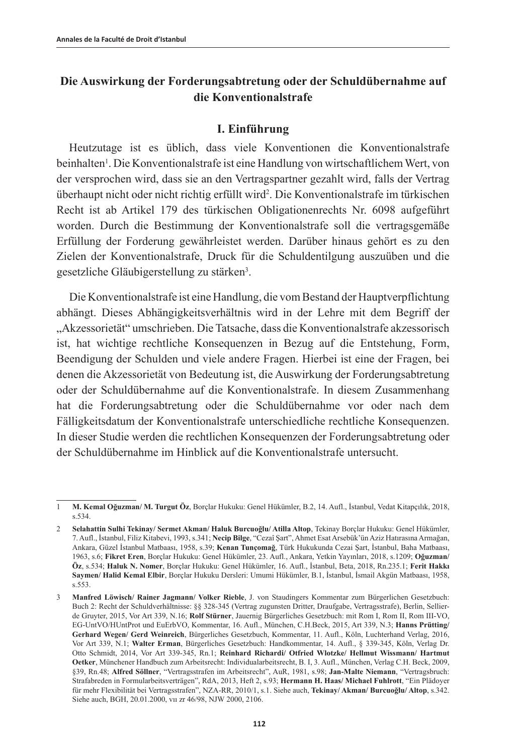## **Die Auswirkung der Forderungsabtretung oder der Schuldübernahme auf die Konventionalstrafe**

### **I. Einführung**

Heutzutage ist es üblich, dass viele Konventionen die Konventionalstrafe beinhalten<sup>1</sup>. Die Konventionalstrafe ist eine Handlung von wirtschaftlichem Wert, von der versprochen wird, dass sie an den Vertragspartner gezahlt wird, falls der Vertrag überhaupt nicht oder nicht richtig erfüllt wird2 . Die Konventionalstrafe im türkischen Recht ist ab Artikel 179 des türkischen Obligationenrechts Nr. 6098 aufgeführt worden. Durch die Bestimmung der Konventionalstrafe soll die vertragsgemäße Erfüllung der Forderung gewährleistet werden. Darüber hinaus gehört es zu den Zielen der Konventionalstrafe, Druck für die Schuldentilgung auszuüben und die gesetzliche Gläubigerstellung zu stärken<sup>3</sup>.

Die Konventionalstrafe ist eine Handlung, die vom Bestand der Hauptverpflichtung abhängt. Dieses Abhängigkeitsverhältnis wird in der Lehre mit dem Begriff der "Akzessorietät" umschrieben. Die Tatsache, dass die Konventionalstrafe akzessorisch ist, hat wichtige rechtliche Konsequenzen in Bezug auf die Entstehung, Form, Beendigung der Schulden und viele andere Fragen. Hierbei ist eine der Fragen, bei denen die Akzessorietät von Bedeutung ist, die Auswirkung der Forderungsabtretung oder der Schuldübernahme auf die Konventionalstrafe. In diesem Zusammenhang hat die Forderungsabtretung oder die Schuldübernahme vor oder nach dem Fälligkeitsdatum der Konventionalstrafe unterschiedliche rechtliche Konsequenzen. In dieser Studie werden die rechtlichen Konsequenzen der Forderungsabtretung oder der Schuldübernahme im Hinblick auf die Konventionalstrafe untersucht.

<sup>1</sup> **M. Kemal Oğuzman/ M. Turgut Öz**, Borçlar Hukuku: Genel Hükümler, B.2, 14. Aufl., İstanbul, Vedat Kitapçılık, 2018, s.534.

<sup>2</sup> **Selahattin Sulhi Tekinay/ Sermet Akman/ Haluk Burcuoğlu/ Atilla Altop**, Tekinay Borçlar Hukuku: Genel Hükümler, 7. Aufl., İstanbul, Filiz Kitabevi, 1993, s.341; **Necip Bilge**, "Cezaî Şart", Ahmet Esat Arsebük'ün Aziz Hatırasına Armağan, Ankara, Güzel İstanbul Matbaası, 1958, s.39; **Kenan Tunçomağ**, Türk Hukukunda Cezai Şart, İstanbul, Baha Matbaası, 1963, s.6; **Fikret Eren**, Borçlar Hukuku: Genel Hükümler, 23. Aufl., Ankara, Yetkin Yayınları, 2018, s.1209; **Oğuzman/ Öz**, s.534; **Haluk N. Nomer**, Borçlar Hukuku: Genel Hükümler, 16. Aufl., İstanbul, Beta, 2018, Rn.235.1; **Ferit Hakkı Saymen/ Halid Kemal Elbir**, Borçlar Hukuku Dersleri: Umumi Hükümler, B.1, İstanbul, İsmail Akgün Matbaası, 1958, s.553.

<sup>3</sup> **Manfred Löwisch/ Rainer Jagmann/ Volker Rieble**, J. von Staudingers Kommentar zum Bürgerlichen Gesetzbuch: Buch 2: Recht der Schuldverhältnisse: §§ 328-345 (Vertrag zugunsten Dritter, Draufgabe, Vertragsstrafe), Berlin, Sellierde Gruyter, 2015, Vor Art 339, N.16; **Rolf Stürner**, Jauernig Bürgerliches Gesetzbuch: mit Rom I, Rom II, Rom III-VO, EG-UntVO/HUntProt und EuErbVO, Kommentar, 16. Aufl., München, C.H.Beck, 2015, Art 339, N.3; **Hanns Prütting/ Gerhard Wegen/ Gerd Weinreich**, Bürgerliches Gesetzbuch, Kommentar, 11. Aufl., Köln, Luchterhand Verlag, 2016, Vor Art 339, N.1; **Walter Erman**, Bürgerliches Gesetzbuch: Handkommentar, 14. Aufl., § 339-345, Köln, Verlag Dr. Otto Schmidt, 2014, Vor Art 339-345, Rn.1; **Reinhard Richardi/ Otfried Wlotzke/ Hellmut Wissmann/ Hartmut Oetker**, Münchener Handbuch zum Arbeitsrecht: Individualarbeitsrecht, B. I, 3. Aufl., München, Verlag C.H. Beck, 2009, §39, Rn.48; **Alfred Söllner**, "Vertragsstrafen im Arbeitsrecht", AuR, 1981, s.98; **Jan-Malte Niemann**, "Vertragsbruch: Strafabreden in Formularbeitsverträgen", RdA, 2013, Heft 2, s.93; **Hermann H. Haas/ Michael Fuhlrott**, "Ein Plädoyer für mehr Flexibilität bei Vertragsstrafen", NZA-RR, 2010/1, s.1. Siehe auch, **Tekinay/ Akman/ Burcuoğlu/ Altop**, s.342. Siehe auch, BGH, 20.01.2000, vıı zr 46/98, NJW 2000, 2106.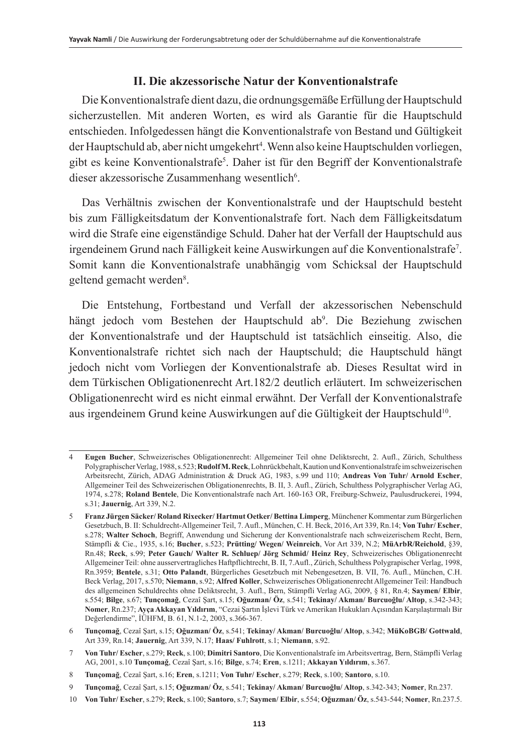## **II. Die akzessorische Natur der Konventionalstrafe**

Die Konventionalstrafe dient dazu, die ordnungsgemäße Erfüllung der Hauptschuld sicherzustellen. Mit anderen Worten, es wird als Garantie für die Hauptschuld entschieden. Infolgedessen hängt die Konventionalstrafe von Bestand und Gültigkeit der Hauptschuld ab, aber nicht umgekehrt<sup>4</sup>. Wenn also keine Hauptschulden vorliegen, gibt es keine Konventionalstrafe5 . Daher ist für den Begriff der Konventionalstrafe dieser akzessorische Zusammenhang wesentlich<sup>6</sup>.

Das Verhältnis zwischen der Konventionalstrafe und der Hauptschuld besteht bis zum Fälligkeitsdatum der Konventionalstrafe fort. Nach dem Fälligkeitsdatum wird die Strafe eine eigenständige Schuld. Daher hat der Verfall der Hauptschuld aus irgendeinem Grund nach Fälligkeit keine Auswirkungen auf die Konventionalstrafe<sup>7</sup>. Somit kann die Konventionalstrafe unabhängig vom Schicksal der Hauptschuld geltend gemacht werden<sup>8</sup>.

Die Entstehung, Fortbestand und Verfall der akzessorischen Nebenschuld hängt jedoch vom Bestehen der Hauptschuld ab<sup>9</sup>. Die Beziehung zwischen der Konventionalstrafe und der Hauptschuld ist tatsächlich einseitig. Also, die Konventionalstrafe richtet sich nach der Hauptschuld; die Hauptschuld hängt jedoch nicht vom Vorliegen der Konventionalstrafe ab. Dieses Resultat wird in dem Türkischen Obligationenrecht Art.182/2 deutlich erläutert. Im schweizerischen Obligationenrecht wird es nicht einmal erwähnt. Der Verfall der Konventionalstrafe aus irgendeinem Grund keine Auswirkungen auf die Gültigkeit der Hauptschuld<sup>10</sup>.

<sup>4</sup> **Eugen Bucher**, Schweizerisches Obligationenrecht: Allgemeiner Teil ohne Deliktsrecht, 2. Aufl., Zürich, Schulthess Polygraphischer Verlag, 1988, s.523; **Rudolf M. Reck**, Lohnrückbehalt, Kaution und Konventionalstrafe im schweizerischen Arbeitsrecht, Zürich, ADAG Administration & Druck AG, 1983, s.99 und 110; **Andreas Von Tuhr/ Arnold Escher**, Allgemeiner Teil des Schweizerischen Obligationenrechts, B. II, 3. Aufl., Zürich, Schulthess Polygraphischer Verlag AG, 1974, s.278; **Roland Bentele**, Die Konventionalstrafe nach Art. 160-163 OR, Freiburg-Schweiz, Paulusdruckerei, 1994, s.31; **Jauernig**, Art 339, N.2.

<sup>5</sup> **Franz Jürgen Sӓcker/ Roland Rixecker/ Hartmut Oetker/ Bettina Limperg**, Münchener Kommentar zum Bürgerlichen Gesetzbuch, B. II: Schuldrecht-Allgemeiner Teil, 7. Aufl., München, C. H. Beck, 2016, Art 339, Rn.14; **Von Tuhr/ Escher**, s.278; **Walter Schoch**, Begriff, Anwendung und Sicherung der Konventionalstrafe nach schweizerischem Recht, Bern, Stämpfli & Cie., 1935, s.16; **Bucher**, s.523; **Prütting/ Wegen/ Weinreich**, Vor Art 339, N.2; **MüArbR/Reichold**, §39, Rn.48; **Reck**, s.99; **Peter Gauch/ Walter R. Schluep/ Jörg Schmid/ Heinz Rey**, Schweizerisches Obligationenrecht Allgemeiner Teil: ohne ausservertragliches Haftpflichtrecht, B. II, 7.Aufl., Zürich, Schulthess Polygrapischer Verlag, 1998, Rn.3959; **Bentele**, s.31; **Otto Palandt**, Bürgerliches Gesetzbuch mit Nebengesetzen, B. VII, 76. Aufl., München, C.H. Beck Verlag, 2017, s.570; **Niemann**, s.92; **Alfred Koller**, Schweizerisches Obligationenrecht Allgemeiner Teil: Handbuch des allgemeinen Schuldrechts ohne Deliktsrecht, 3. Aufl., Bern, Stämpfli Verlag AG, 2009, § 81, Rn.4; **Saymen/ Elbir**, s.554; **Bilge**, s.67; **Tunçomağ**, Cezaî Şart, s.15; **Oğuzman/ Öz**, s.541; **Tekinay/ Akman/ Burcuoğlu/ Altop**, s.342-343; **Nomer**, Rn.237; **Ayça Akkayan Yıldırım**, "Cezai Şartın İşlevi Türk ve Amerikan Hukukları Açısından Karşılaştırmalı Bir Değerlendirme", İÜHFM, B. 61, N.1-2, 2003, s.366-367.

<sup>6</sup> **Tunçomağ**, Cezaî Şart, s.15; **Oğuzman/ Öz**, s.541; **Tekinay/ Akman/ Burcuoğlu/ Altop**, s.342; **MüKoBGB/ Gottwald**, Art 339, Rn.14; **Jauernig**, Art 339, N.17; **Haas/ Fuhlrott**, s.1; **Niemann**, s.92.

<sup>7</sup> **Von Tuhr/ Escher**, s.279; **Reck**, s.100; **Dimitri Santoro**, Die Konventionalstrafe im Arbeitsvertrag, Bern, Stämpfli Verlag AG, 2001, s.10 **Tunçomağ**, Cezaî Şart, s.16; **Bilge**, s.74; **Eren**, s.1211; **Akkayan Yıldırım**, s.367.

<sup>8</sup> **Tunçomağ**, Cezaî Şart, s.16; **Eren**, s.1211; **Von Tuhr/ Escher**, s.279; **Reck**, s.100; **Santoro**, s.10.

<sup>9</sup> **Tunçomağ**, Cezaî Şart, s.15; **Oğuzman/ Öz**, s.541; **Tekinay/ Akman/ Burcuoğlu/ Altop**, s.342-343; **Nomer**, Rn.237.

<sup>10</sup> **Von Tuhr/ Escher**, s.279; **Reck**, s.100; **Santoro**, s.7; **Saymen/ Elbir**, s.554; **Oğuzman/ Öz**, s.543-544; **Nomer**, Rn.237.5.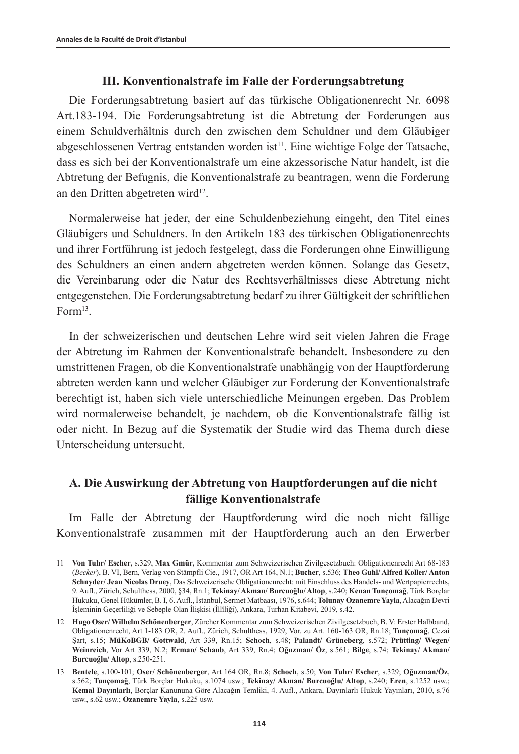#### **III. Konventionalstrafe im Falle der Forderungsabtretung**

Die Forderungsabtretung basiert auf das türkische Obligationenrecht Nr. 6098 Art.183-194. Die Forderungsabtretung ist die Abtretung der Forderungen aus einem Schuldverhältnis durch den zwischen dem Schuldner und dem Gläubiger abgeschlossenen Vertrag entstanden worden ist<sup>11</sup>. Eine wichtige Folge der Tatsache, dass es sich bei der Konventionalstrafe um eine akzessorische Natur handelt, ist die Abtretung der Befugnis, die Konventionalstrafe zu beantragen, wenn die Forderung an den Dritten abgetreten wird<sup>12</sup>.

Normalerweise hat jeder, der eine Schuldenbeziehung eingeht, den Titel eines Gläubigers und Schuldners. In den Artikeln 183 des türkischen Obligationenrechts und ihrer Fortführung ist jedoch festgelegt, dass die Forderungen ohne Einwilligung des Schuldners an einen andern abgetreten werden können. Solange das Gesetz, die Vereinbarung oder die Natur des Rechtsverhältnisses diese Abtretung nicht entgegenstehen. Die Forderungsabtretung bedarf zu ihrer Gültigkeit der schriftlichen Form<sup>13</sup>.

In der schweizerischen und deutschen Lehre wird seit vielen Jahren die Frage der Abtretung im Rahmen der Konventionalstrafe behandelt. Insbesondere zu den umstrittenen Fragen, ob die Konventionalstrafe unabhängig von der Hauptforderung abtreten werden kann und welcher Gläubiger zur Forderung der Konventionalstrafe berechtigt ist, haben sich viele unterschiedliche Meinungen ergeben. Das Problem wird normalerweise behandelt, je nachdem, ob die Konventionalstrafe fällig ist oder nicht. In Bezug auf die Systematik der Studie wird das Thema durch diese Unterscheidung untersucht.

## **A. Die Auswirkung der Abtretung von Hauptforderungen auf die nicht fällige Konventionalstrafe**

Im Falle der Abtretung der Hauptforderung wird die noch nicht fällige Konventionalstrafe zusammen mit der Hauptforderung auch an den Erwerber

<sup>11</sup> **Von Tuhr/ Escher**, s.329, **Max Gmür**, Kommentar zum Schweizerischen Zivilgesetzbuch: Obligationenrecht Art 68-183 (*Becker*), B. VI, Bern, Verlag von Stämpfli Cie., 1917, OR Art 164, N.1; **Bucher**, s.536; **Theo Guhl/ Alfred Koller/ Anton Schnyder/ Jean Nicolas Druey**, Das Schweizerische Obligationenrecht: mit Einschluss des Handels- und Wertpapierrechts, 9. Aufl., Zürich, Schulthess, 2000, §34, Rn.1; **Tekinay/ Akman/ Burcuoğlu/ Altop**, s.240; **Kenan Tunçomağ**, Türk Borçlar Hukuku, Genel Hükümler, B. I, 6. Aufl., İstanbul, Sermet Matbaası, 1976, s.644; **Tolunay Ozanemre Yayla**, Alacağın Devri İşleminin Geçerliliği ve Sebeple Olan İlişkisi (İllîliği), Ankara, Turhan Kitabevi, 2019, s.42.

<sup>12</sup> **Hugo Oser/ Wilhelm Schönenberger**, Zürcher Kommentar zum Schweizerischen Zivilgesetzbuch, B. V: Erster Halbband, Obligationenrecht, Art 1-183 OR, 2. Aufl., Zürich, Schulthess, 1929, Vor. zu Art. 160-163 OR, Rn.18; **Tunçomağ**, Cezaî Şart, s.15; **MüKoBGB/ Gottwald**, Art 339, Rn.15; **Schoch**, s.48; **Palandt/ Grüneberg**, s.572; **Prütting/ Wegen/ Weinreich**, Vor Art 339, N.2; **Erman/ Schaub**, Art 339, Rn.4; **Oğuzman/ Öz**, s.561; **Bilge**, s.74; **Tekinay/ Akman/ Burcuoğlu/ Altop**, s.250-251.

<sup>13</sup> **Bentele**, s.100-101; **Oser/ Schönenberger**, Art 164 OR, Rn.8; **Schoch**, s.50; **Von Tuhr/ Escher**, s.329; **Oğuzman/Öz**, s.562; **Tunçomağ**, Türk Borçlar Hukuku, s.1074 usw.; **Tekinay/ Akman/ Burcuoğlu/ Altop**, s.240; **Eren**, s.1252 usw.; **Kemal Dayınlarlı**, Borçlar Kanununa Göre Alacağın Temliki, 4. Aufl., Ankara, Dayınlarlı Hukuk Yayınları, 2010, s.76 usw., s.62 usw.; **Ozanemre Yayla**, s.225 usw.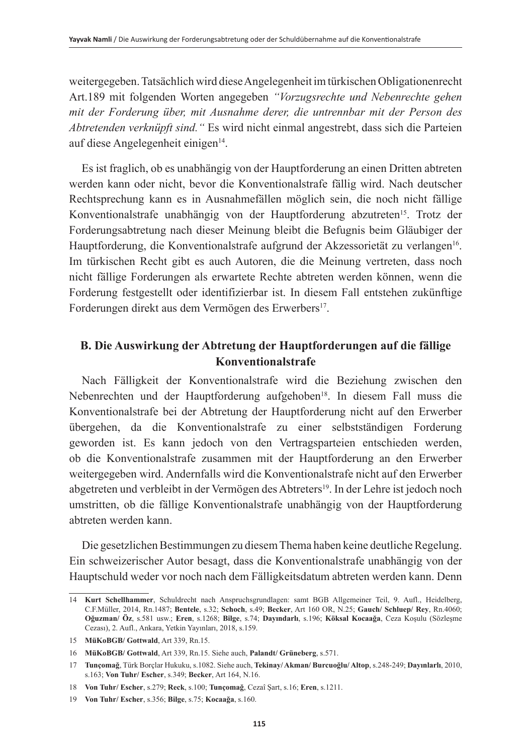weitergegeben. Tatsächlich wird diese Angelegenheit im türkischen Obligationenrecht Art.189 mit folgenden Worten angegeben *"Vorzugsrechte und Nebenrechte gehen mit der Forderung über, mit Ausnahme derer, die untrennbar mit der Person des Abtretenden verknüpft sind."* Es wird nicht einmal angestrebt, dass sich die Parteien auf diese Angelegenheit einigen<sup>14</sup>.

Es ist fraglich, ob es unabhängig von der Hauptforderung an einen Dritten abtreten werden kann oder nicht, bevor die Konventionalstrafe fällig wird. Nach deutscher Rechtsprechung kann es in Ausnahmefällen möglich sein, die noch nicht fällige Konventionalstrafe unabhängig von der Hauptforderung abzutreten<sup>15</sup>. Trotz der Forderungsabtretung nach dieser Meinung bleibt die Befugnis beim Gläubiger der Hauptforderung, die Konventionalstrafe aufgrund der Akzessorietät zu verlangen16. Im türkischen Recht gibt es auch Autoren, die die Meinung vertreten, dass noch nicht fällige Forderungen als erwartete Rechte abtreten werden können, wenn die Forderung festgestellt oder identifizierbar ist. In diesem Fall entstehen zukünftige Forderungen direkt aus dem Vermögen des Erwerbers<sup>17</sup>.

## **B. Die Auswirkung der Abtretung der Hauptforderungen auf die fällige Konventionalstrafe**

Nach Fälligkeit der Konventionalstrafe wird die Beziehung zwischen den Nebenrechten und der Hauptforderung aufgehoben<sup>18</sup>. In diesem Fall muss die Konventionalstrafe bei der Abtretung der Hauptforderung nicht auf den Erwerber übergehen, da die Konventionalstrafe zu einer selbstständigen Forderung geworden ist. Es kann jedoch von den Vertragsparteien entschieden werden, ob die Konventionalstrafe zusammen mit der Hauptforderung an den Erwerber weitergegeben wird. Andernfalls wird die Konventionalstrafe nicht auf den Erwerber abgetreten und verbleibt in der Vermögen des Abtreters19. In der Lehre ist jedoch noch umstritten, ob die fällige Konventionalstrafe unabhängig von der Hauptforderung abtreten werden kann.

Die gesetzlichen Bestimmungen zu diesem Thema haben keine deutliche Regelung. Ein schweizerischer Autor besagt, dass die Konventionalstrafe unabhängig von der Hauptschuld weder vor noch nach dem Fälligkeitsdatum abtreten werden kann. Denn

<sup>14</sup> **Kurt Schellhammer**, Schuldrecht nach Anspruchsgrundlagen: samt BGB Allgemeiner Teil, 9. Aufl., Heidelberg, C.F.Müller, 2014, Rn.1487; **Bentele**, s.32; **Schoch**, s.49; **Becker**, Art 160 OR, N.25; **Gauch/ Schluep/ Rey**, Rn.4060; **Oğuzman/ Öz**, s.581 usw.; **Eren**, s.1268; **Bilge**, s.74; **Dayındarlı**, s.196; **Köksal Kocaağa**, Ceza Koşulu (Sözleşme Cezası), 2. Aufl., Ankara, Yetkin Yayınları, 2018, s.159.

<sup>15</sup> **MüKoBGB/ Gottwald**, Art 339, Rn.15.

<sup>16</sup> **MüKoBGB/ Gottwald**, Art 339, Rn.15. Siehe auch, **Palandt/ Grüneberg**, s.571.

<sup>17</sup> **Tunçomağ**, Türk Borçlar Hukuku, s.1082. Siehe auch, **Tekinay/ Akman/ Burcuoğlu/ Altop**, s.248-249; **Dayınlarlı**, 2010, s.163; **Von Tuhr/ Escher**, s.349; **Becker**, Art 164, N.16.

<sup>18</sup> **Von Tuhr/ Escher**, s.279; **Reck**, s.100; **Tunçomağ**, Cezaî Şart, s.16; **Eren**, s.1211.

<sup>19</sup> **Von Tuhr/ Escher**, s.356; **Bilge**, s.75; **Kocaağa**, s.160.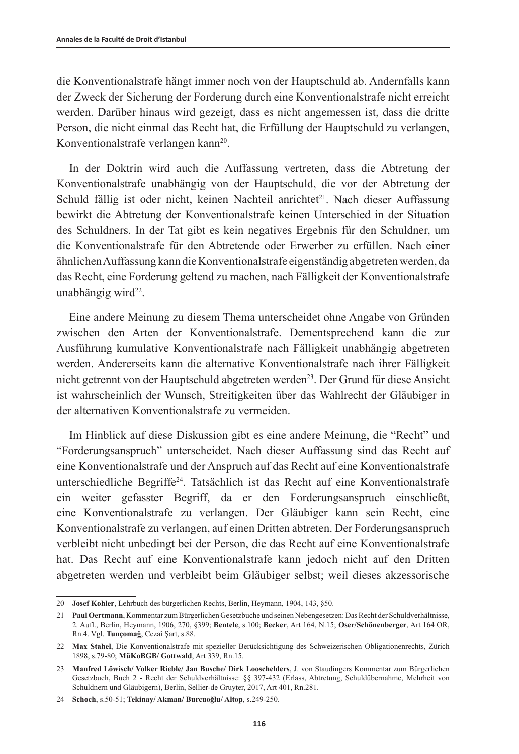die Konventionalstrafe hängt immer noch von der Hauptschuld ab. Andernfalls kann der Zweck der Sicherung der Forderung durch eine Konventionalstrafe nicht erreicht werden. Darüber hinaus wird gezeigt, dass es nicht angemessen ist, dass die dritte Person, die nicht einmal das Recht hat, die Erfüllung der Hauptschuld zu verlangen, Konventionalstrafe verlangen kann<sup>20</sup>.

In der Doktrin wird auch die Auffassung vertreten, dass die Abtretung der Konventionalstrafe unabhängig von der Hauptschuld, die vor der Abtretung der Schuld fällig ist oder nicht, keinen Nachteil anrichtet<sup>21</sup>. Nach dieser Auffassung bewirkt die Abtretung der Konventionalstrafe keinen Unterschied in der Situation des Schuldners. In der Tat gibt es kein negatives Ergebnis für den Schuldner, um die Konventionalstrafe für den Abtretende oder Erwerber zu erfüllen. Nach einer ähnlichen Auffassung kann die Konventionalstrafe eigenständig abgetreten werden, da das Recht, eine Forderung geltend zu machen, nach Fälligkeit der Konventionalstrafe unabhängig wird<sup>22</sup>.

Eine andere Meinung zu diesem Thema unterscheidet ohne Angabe von Gründen zwischen den Arten der Konventionalstrafe. Dementsprechend kann die zur Ausführung kumulative Konventionalstrafe nach Fälligkeit unabhängig abgetreten werden. Andererseits kann die alternative Konventionalstrafe nach ihrer Fälligkeit nicht getrennt von der Hauptschuld abgetreten werden<sup>23</sup>. Der Grund für diese Ansicht ist wahrscheinlich der Wunsch, Streitigkeiten über das Wahlrecht der Gläubiger in der alternativen Konventionalstrafe zu vermeiden.

Im Hinblick auf diese Diskussion gibt es eine andere Meinung, die "Recht" und "Forderungsanspruch" unterscheidet. Nach dieser Auffassung sind das Recht auf eine Konventionalstrafe und der Anspruch auf das Recht auf eine Konventionalstrafe unterschiedliche Begriffe<sup>24</sup>. Tatsächlich ist das Recht auf eine Konventionalstrafe ein weiter gefasster Begriff, da er den Forderungsanspruch einschließt, eine Konventionalstrafe zu verlangen. Der Gläubiger kann sein Recht, eine Konventionalstrafe zu verlangen, auf einen Dritten abtreten. Der Forderungsanspruch verbleibt nicht unbedingt bei der Person, die das Recht auf eine Konventionalstrafe hat. Das Recht auf eine Konventionalstrafe kann jedoch nicht auf den Dritten abgetreten werden und verbleibt beim Gläubiger selbst; weil dieses akzessorische

<sup>20</sup> **Josef Kohler**, Lehrbuch des bürgerlichen Rechts, Berlin, Heymann, 1904, 143, §50.

<sup>21</sup> **Paul Oertmann**, Kommentar zum Bürgerlichen Gesetzbuche und seinen Nebengesetzen: Das Recht der Schuldverhältnisse, 2. Aufl., Berlin, Heymann, 1906, 270, §399; **Bentele**, s.100; **Becker**, Art 164, N.15; **Oser/Schönenberger**, Art 164 OR, Rn.4. Vgl. **Tunçomağ**, Cezaî Şart, s.88.

<sup>22</sup> **Max Stahel**, Die Konventionalstrafe mit spezieller Berücksichtigung des Schweizerischen Obligationenrechts, Zürich 1898, s.79-80; **MüKoBGB/ Gottwald**, Art 339, Rn.15.

<sup>23</sup> **Manfred Löwisch/ Volker Rieble/ Jan Busche/ Dirk Looschelders**, J. von Staudingers Kommentar zum Bürgerlichen Gesetzbuch, Buch 2 - Recht der Schuldverhältnisse: §§ 397-432 (Erlass, Abtretung, Schuldübernahme, Mehrheit von Schuldnern und Gläubigern), Berlin, Sellier-de Gruyter, 2017, Art 401, Rn.281.

<sup>24</sup> **Schoch**, s.50-51; **Tekinay/ Akman/ Burcuoğlu/ Altop**, s.249-250.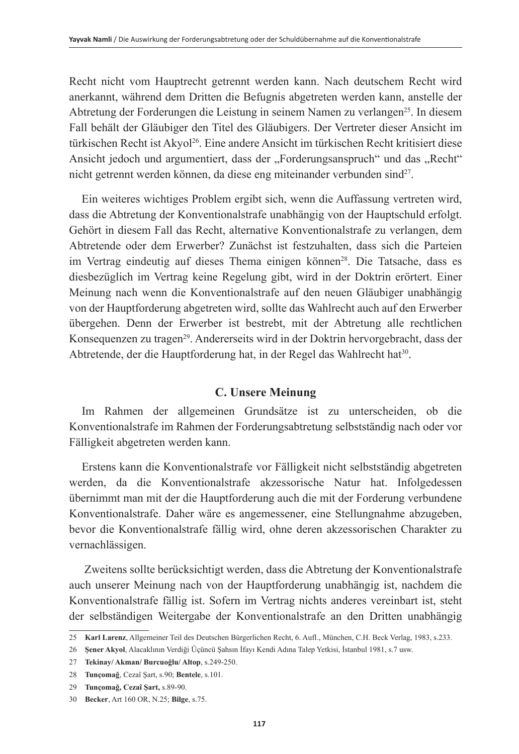Recht nicht vom Hauptrecht getrennt werden kann. Nach deutschem Recht wird anerkannt, während dem Dritten die Befugnis abgetreten werden kann, anstelle der Abtretung der Forderungen die Leistung in seinem Namen zu verlangen<sup>25</sup>. In diesem Fall behält der Gläubiger den Titel des Gläubigers. Der Vertreter dieser Ansicht im türkischen Recht ist Akyol<sup>26</sup>. Eine andere Ansicht im türkischen Recht kritisiert diese Ansicht jedoch und argumentiert, dass der "Forderungsanspruch" und das "Recht" nicht getrennt werden können, da diese eng miteinander verbunden sind<sup>27</sup>.

Ein weiteres wichtiges Problem ergibt sich, wenn die Auffassung vertreten wird, dass die Abtretung der Konventionalstrafe unabhängig von der Hauptschuld erfolgt. Gehört in diesem Fall das Recht, alternative Konventionalstrafe zu verlangen, dem Abtretende oder dem Erwerber? Zunächst ist festzuhalten, dass sich die Parteien im Vertrag eindeutig auf dieses Thema einigen können<sup>28</sup>. Die Tatsache, dass es diesbezüglich im Vertrag keine Regelung gibt, wird in der Doktrin erörtert. Einer Meinung nach wenn die Konventionalstrafe auf den neuen Gläubiger unabhängig von der Hauptforderung abgetreten wird, sollte das Wahlrecht auch auf den Erwerber übergehen. Denn der Erwerber ist bestrebt, mit der Abtretung alle rechtlichen Konsequenzen zu tragen<sup>29</sup>. Andererseits wird in der Doktrin hervorgebracht, dass der Abtretende, der die Hauptforderung hat, in der Regel das Wahlrecht hat<sup>30</sup>.

## **C. Unsere Meinung**

Im Rahmen der allgemeinen Grundsätze ist zu unterscheiden, ob die Konventionalstrafe im Rahmen der Forderungsabtretung selbstständig nach oder vor Fälligkeit abgetreten werden kann.

Erstens kann die Konventionalstrafe vor Fälligkeit nicht selbstständig abgetreten werden, da die Konventionalstrafe akzessorische Natur hat. Infolgedessen übernimmt man mit der die Hauptforderung auch die mit der Forderung verbundene Konventionalstrafe. Daher wäre es angemessener, eine Stellungnahme abzugeben, bevor die Konventionalstrafe fällig wird, ohne deren akzessorischen Charakter zu vernachlässigen.

 Zweitens sollte berücksichtigt werden, dass die Abtretung der Konventionalstrafe auch unserer Meinung nach von der Hauptforderung unabhängig ist, nachdem die Konventionalstrafe fällig ist. Sofern im Vertrag nichts anderes vereinbart ist, steht der selbständigen Weitergabe der Konventionalstrafe an den Dritten unabhängig

<sup>25</sup> **Karl Larenz**, Allgemeiner Teil des Deutschen Bürgerlichen Recht, 6. Aufl., München, C.H. Beck Verlag, 1983, s.233.

<sup>26</sup> **Şener Akyol**, Alacaklının Verdiği Üçüncü Şahsın İfayı Kendi Adına Talep Yetkisi, İstanbul 1981, s.7 usw.

<sup>27</sup> **Tekinay/ Akman/ Burcuoğlu/ Altop**, s.249-250.

<sup>28</sup> **Tunçomağ**, Cezaî Şart, s.90; **Bentele**, s.101.

<sup>29</sup> **Tunçomağ, Cezaî Şart,** s.89-90.

<sup>30</sup> **Becker**, Art 160 OR, N.25; **Bilge**, s.75.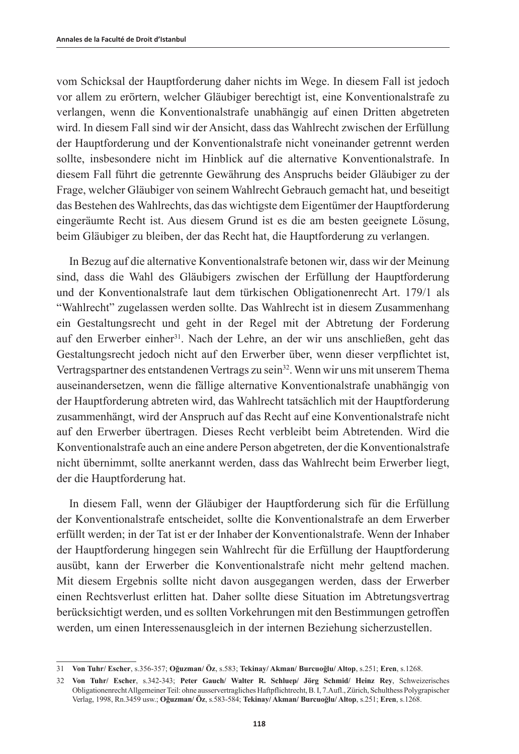vom Schicksal der Hauptforderung daher nichts im Wege. In diesem Fall ist jedoch vor allem zu erörtern, welcher Gläubiger berechtigt ist, eine Konventionalstrafe zu verlangen, wenn die Konventionalstrafe unabhängig auf einen Dritten abgetreten wird. In diesem Fall sind wir der Ansicht, dass das Wahlrecht zwischen der Erfüllung der Hauptforderung und der Konventionalstrafe nicht voneinander getrennt werden sollte, insbesondere nicht im Hinblick auf die alternative Konventionalstrafe. In diesem Fall führt die getrennte Gewährung des Anspruchs beider Gläubiger zu der Frage, welcher Gläubiger von seinem Wahlrecht Gebrauch gemacht hat, und beseitigt das Bestehen des Wahlrechts, das das wichtigste dem Eigentümer der Hauptforderung eingeräumte Recht ist. Aus diesem Grund ist es die am besten geeignete Lösung, beim Gläubiger zu bleiben, der das Recht hat, die Hauptforderung zu verlangen.

In Bezug auf die alternative Konventionalstrafe betonen wir, dass wir der Meinung sind, dass die Wahl des Gläubigers zwischen der Erfüllung der Hauptforderung und der Konventionalstrafe laut dem türkischen Obligationenrecht Art. 179/1 als "Wahlrecht" zugelassen werden sollte. Das Wahlrecht ist in diesem Zusammenhang ein Gestaltungsrecht und geht in der Regel mit der Abtretung der Forderung auf den Erwerber einher<sup>31</sup>. Nach der Lehre, an der wir uns anschließen, geht das Gestaltungsrecht jedoch nicht auf den Erwerber über, wenn dieser verpflichtet ist, Vertragspartner des entstandenen Vertrags zu sein<sup>32</sup>. Wenn wir uns mit unserem Thema auseinandersetzen, wenn die fällige alternative Konventionalstrafe unabhängig von der Hauptforderung abtreten wird, das Wahlrecht tatsächlich mit der Hauptforderung zusammenhängt, wird der Anspruch auf das Recht auf eine Konventionalstrafe nicht auf den Erwerber übertragen. Dieses Recht verbleibt beim Abtretenden. Wird die Konventionalstrafe auch an eine andere Person abgetreten, der die Konventionalstrafe nicht übernimmt, sollte anerkannt werden, dass das Wahlrecht beim Erwerber liegt, der die Hauptforderung hat.

In diesem Fall, wenn der Gläubiger der Hauptforderung sich für die Erfüllung der Konventionalstrafe entscheidet, sollte die Konventionalstrafe an dem Erwerber erfüllt werden; in der Tat ist er der Inhaber der Konventionalstrafe. Wenn der Inhaber der Hauptforderung hingegen sein Wahlrecht für die Erfüllung der Hauptforderung ausübt, kann der Erwerber die Konventionalstrafe nicht mehr geltend machen. Mit diesem Ergebnis sollte nicht davon ausgegangen werden, dass der Erwerber einen Rechtsverlust erlitten hat. Daher sollte diese Situation im Abtretungsvertrag berücksichtigt werden, und es sollten Vorkehrungen mit den Bestimmungen getroffen werden, um einen Interessenausgleich in der internen Beziehung sicherzustellen.

<sup>31</sup> **Von Tuhr/ Escher**, s.356-357; **Oğuzman/ Öz**, s.583; **Tekinay/ Akman/ Burcuoğlu/ Altop**, s.251; **Eren**, s.1268.

<sup>32</sup> **Von Tuhr/ Escher**, s.342-343; **Peter Gauch/ Walter R. Schluep/ Jörg Schmid/ Heinz Rey**, Schweizerisches Obligationenrecht Allgemeiner Teil: ohne ausservertragliches Haftpflichtrecht, B. I, 7.Aufl., Zürich, Schulthess Polygrapischer Verlag, 1998, Rn.3459 usw.; **Oğuzman/ Öz**, s.583-584; **Tekinay/ Akman/ Burcuoğlu/ Altop**, s.251; **Eren**, s.1268.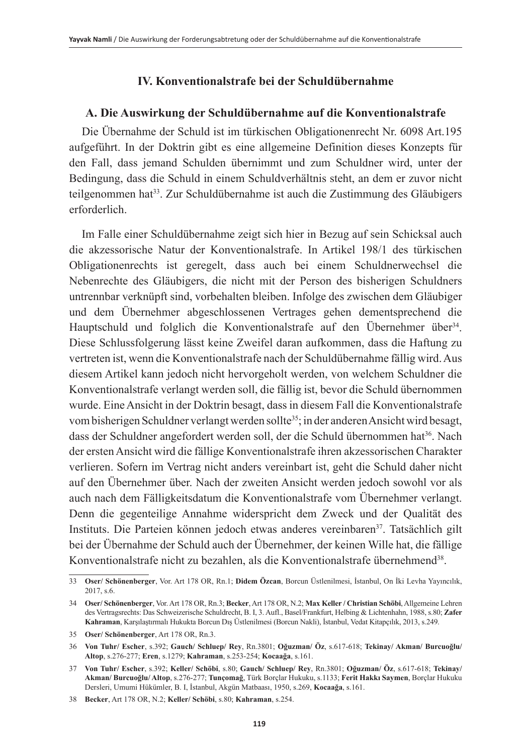## **IV. Konventionalstrafe bei der Schuldübernahme**

#### **A. Die Auswirkung der Schuldübernahme auf die Konventionalstrafe**

Die Übernahme der Schuld ist im türkischen Obligationenrecht Nr. 6098 Art.195 aufgeführt. In der Doktrin gibt es eine allgemeine Definition dieses Konzepts für den Fall, dass jemand Schulden übernimmt und zum Schuldner wird, unter der Bedingung, dass die Schuld in einem Schuldverhältnis steht, an dem er zuvor nicht teilgenommen hat33. Zur Schuldübernahme ist auch die Zustimmung des Gläubigers erforderlich.

Im Falle einer Schuldübernahme zeigt sich hier in Bezug auf sein Schicksal auch die akzessorische Natur der Konventionalstrafe. In Artikel 198/1 des türkischen Obligationenrechts ist geregelt, dass auch bei einem Schuldnerwechsel die Nebenrechte des Gläubigers, die nicht mit der Person des bisherigen Schuldners untrennbar verknüpft sind, vorbehalten bleiben. Infolge des zwischen dem Gläubiger und dem Übernehmer abgeschlossenen Vertrages gehen dementsprechend die Hauptschuld und folglich die Konventionalstrafe auf den Übernehmer über<sup>34</sup>. Diese Schlussfolgerung lässt keine Zweifel daran aufkommen, dass die Haftung zu vertreten ist, wenn die Konventionalstrafe nach der Schuldübernahme fällig wird. Aus diesem Artikel kann jedoch nicht hervorgeholt werden, von welchem Schuldner die Konventionalstrafe verlangt werden soll, die fällig ist, bevor die Schuld übernommen wurde. Eine Ansicht in der Doktrin besagt, dass in diesem Fall die Konventionalstrafe vom bisherigen Schuldner verlangt werden sollte<sup>35</sup>; in der anderen Ansicht wird besagt, dass der Schuldner angefordert werden soll, der die Schuld übernommen hat<sup>36</sup>. Nach der ersten Ansicht wird die fällige Konventionalstrafe ihren akzessorischen Charakter verlieren. Sofern im Vertrag nicht anders vereinbart ist, geht die Schuld daher nicht auf den Übernehmer über. Nach der zweiten Ansicht werden jedoch sowohl vor als auch nach dem Fälligkeitsdatum die Konventionalstrafe vom Übernehmer verlangt. Denn die gegenteilige Annahme widerspricht dem Zweck und der Qualität des Instituts. Die Parteien können jedoch etwas anderes vereinbaren<sup>37</sup>. Tatsächlich gilt bei der Übernahme der Schuld auch der Übernehmer, der keinen Wille hat, die fällige Konventionalstrafe nicht zu bezahlen, als die Konventionalstrafe übernehmend<sup>38</sup>.

<sup>33</sup> **Oser/ Schönenberger**, Vor. Art 178 OR, Rn.1; **Didem Özcan**, Borcun Üstlenilmesi, İstanbul, On İki Levha Yayıncılık, 2017, s.6.

<sup>34</sup> **Oser/ Schönenberger**, Vor. Art 178 OR, Rn.3; **Becker**, Art 178 OR, N.2; **Max Keller / Christian Schöbi**, Allgemeine Lehren des Vertragsrechts: Das Schweizerische Schuldrecht, B. I, 3. Aufl., Basel/Frankfurt, Helbing & Lichtenhahn, 1988, s.80; **Zafer Kahraman**, Karşılaştırmalı Hukukta Borcun Dış Üstlenilmesi (Borcun Nakli), İstanbul, Vedat Kitapçılık, 2013, s.249.

<sup>35</sup> **Oser/ Schönenberger**, Art 178 OR, Rn.3.

<sup>36</sup> **Von Tuhr/ Escher**, s.392; **Gauch/ Schluep/ Rey**, Rn.3801; **Oğuzman/ Öz**, s.617-618; **Tekinay/ Akman/ Burcuoğlu/ Altop**, s.276-277; **Eren**, s.1279; **Kahraman**, s.253-254; **Kocaağa**, s.161.

<sup>37</sup> **Von Tuhr/ Escher**, s.392; **Keller/ Schöbi**, s.80; **Gauch/ Schluep/ Rey**, Rn.3801; **Oğuzman/ Öz**, s.617-618; **Tekinay/ Akman/ Burcuoğlu/ Altop**, s.276-277; **Tunçomağ**, Türk Borçlar Hukuku, s.1133; **Ferit Hakkı Saymen**, Borçlar Hukuku Dersleri, Umumi Hükümler, B. I, İstanbul, Akgün Matbaası, 1950, s.269, **Kocaağa**, s.161.

<sup>38</sup> **Becker**, Art 178 OR, N.2; **Keller/ Schöbi**, s.80; **Kahraman**, s.254.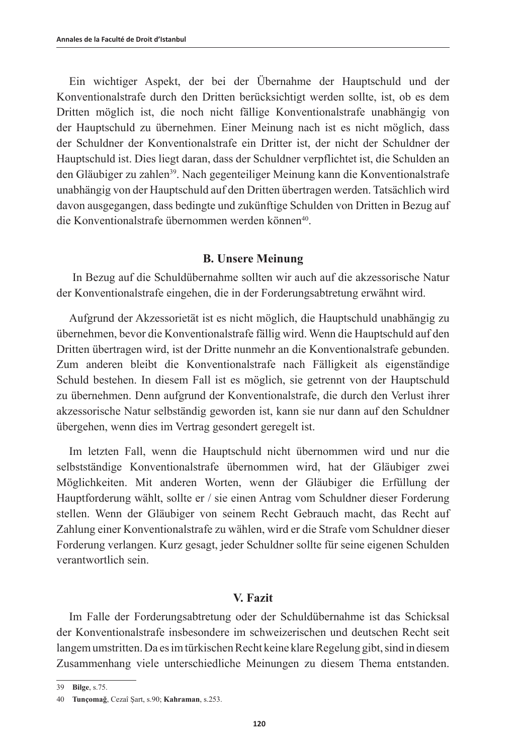Ein wichtiger Aspekt, der bei der Übernahme der Hauptschuld und der Konventionalstrafe durch den Dritten berücksichtigt werden sollte, ist, ob es dem Dritten möglich ist, die noch nicht fällige Konventionalstrafe unabhängig von der Hauptschuld zu übernehmen. Einer Meinung nach ist es nicht möglich, dass der Schuldner der Konventionalstrafe ein Dritter ist, der nicht der Schuldner der Hauptschuld ist. Dies liegt daran, dass der Schuldner verpflichtet ist, die Schulden an den Gläubiger zu zahlen<sup>39</sup>. Nach gegenteiliger Meinung kann die Konventionalstrafe unabhängig von der Hauptschuld auf den Dritten übertragen werden. Tatsächlich wird davon ausgegangen, dass bedingte und zukünftige Schulden von Dritten in Bezug auf die Konventionalstrafe übernommen werden können40.

### **B. Unsere Meinung**

 In Bezug auf die Schuldübernahme sollten wir auch auf die akzessorische Natur der Konventionalstrafe eingehen, die in der Forderungsabtretung erwähnt wird.

Aufgrund der Akzessorietät ist es nicht möglich, die Hauptschuld unabhängig zu übernehmen, bevor die Konventionalstrafe fällig wird. Wenn die Hauptschuld auf den Dritten übertragen wird, ist der Dritte nunmehr an die Konventionalstrafe gebunden. Zum anderen bleibt die Konventionalstrafe nach Fälligkeit als eigenständige Schuld bestehen. In diesem Fall ist es möglich, sie getrennt von der Hauptschuld zu übernehmen. Denn aufgrund der Konventionalstrafe, die durch den Verlust ihrer akzessorische Natur selbständig geworden ist, kann sie nur dann auf den Schuldner übergehen, wenn dies im Vertrag gesondert geregelt ist.

Im letzten Fall, wenn die Hauptschuld nicht übernommen wird und nur die selbstständige Konventionalstrafe übernommen wird, hat der Gläubiger zwei Möglichkeiten. Mit anderen Worten, wenn der Gläubiger die Erfüllung der Hauptforderung wählt, sollte er / sie einen Antrag vom Schuldner dieser Forderung stellen. Wenn der Gläubiger von seinem Recht Gebrauch macht, das Recht auf Zahlung einer Konventionalstrafe zu wählen, wird er die Strafe vom Schuldner dieser Forderung verlangen. Kurz gesagt, jeder Schuldner sollte für seine eigenen Schulden verantwortlich sein.

### **V. Fazit**

Im Falle der Forderungsabtretung oder der Schuldübernahme ist das Schicksal der Konventionalstrafe insbesondere im schweizerischen und deutschen Recht seit langem umstritten. Da es im türkischen Recht keine klare Regelung gibt, sind in diesem Zusammenhang viele unterschiedliche Meinungen zu diesem Thema entstanden.

<sup>39</sup> **Bilge**, s.75.

<sup>40</sup> **Tunçomağ**, Cezaî Şart, s.90; **Kahraman**, s.253.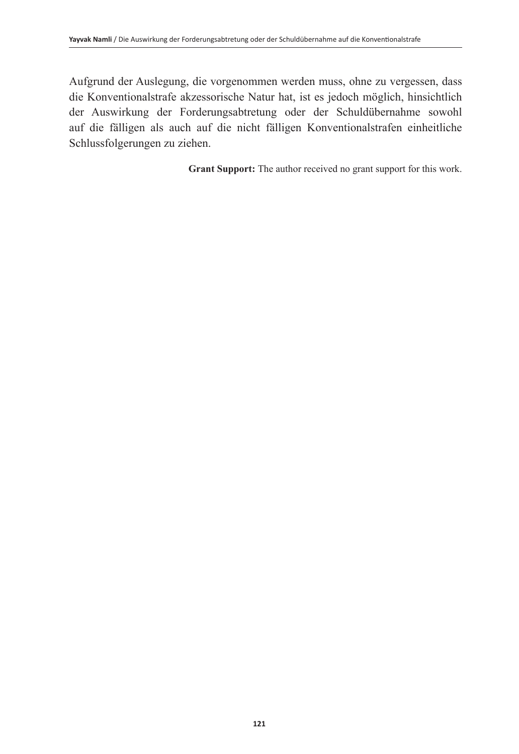Aufgrund der Auslegung, die vorgenommen werden muss, ohne zu vergessen, dass die Konventionalstrafe akzessorische Natur hat, ist es jedoch möglich, hinsichtlich der Auswirkung der Forderungsabtretung oder der Schuldübernahme sowohl auf die fälligen als auch auf die nicht fälligen Konventionalstrafen einheitliche Schlussfolgerungen zu ziehen.

**Grant Support:** The author received no grant support for this work.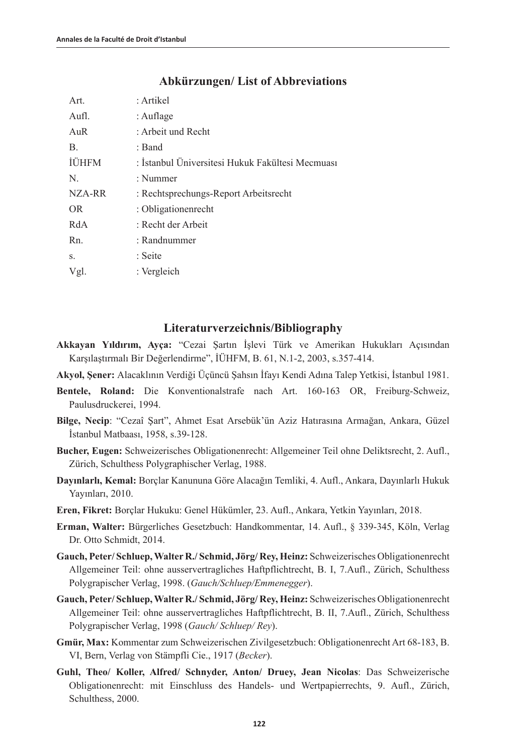| Art.         | : Artikel                                        |
|--------------|--------------------------------------------------|
| Aufl.        | : Auflage                                        |
| AuR          | : Arbeit und Recht                               |
| В.           | : Band                                           |
| <b>IUHFM</b> | : İstanbul Üniversitesi Hukuk Fakültesi Mecmuası |
| N.           | : Nummer                                         |
| NZA-RR       | : Rechtsprechungs-Report Arbeitsrecht            |
| OR.          | : Obligationenrecht                              |
| RdA          | : Recht der Arbeit                               |
| Rn.          | : Randnummer                                     |
| S.           | : Seite                                          |
| Vgl.         | $:$ Vergleich                                    |
|              |                                                  |

#### **Abkürzungen/ List of Abbreviations**

#### **Literaturverzeichnis/Bibliography**

- **Akkayan Yıldırım, Ayça:** "Cezai Şartın İşlevi Türk ve Amerikan Hukukları Açısından Karşılaştırmalı Bir Değerlendirme", İÜHFM, B. 61, N.1-2, 2003, s.357-414.
- **Akyol, Şener:** Alacaklının Verdiği Üçüncü Şahsın İfayı Kendi Adına Talep Yetkisi, İstanbul 1981.
- **Bentele, Roland:** Die Konventionalstrafe nach Art. 160-163 OR, Freiburg-Schweiz, Paulusdruckerei, 1994.
- **Bilge, Necip**: "Cezaî Şart", Ahmet Esat Arsebük'ün Aziz Hatırasına Armağan, Ankara, Güzel İstanbul Matbaası, 1958, s.39-128.
- **Bucher, Eugen:** Schweizerisches Obligationenrecht: Allgemeiner Teil ohne Deliktsrecht, 2. Aufl., Zürich, Schulthess Polygraphischer Verlag, 1988.
- **Dayınlarlı, Kemal:** Borçlar Kanununa Göre Alacağın Temliki, 4. Aufl., Ankara, Dayınlarlı Hukuk Yayınları, 2010.
- **Eren, Fikret:** Borçlar Hukuku: Genel Hükümler, 23. Aufl., Ankara, Yetkin Yayınları, 2018.
- **Erman, Walter:** Bürgerliches Gesetzbuch: Handkommentar, 14. Aufl., § 339-345, Köln, Verlag Dr. Otto Schmidt, 2014.
- **Gauch, Peter/ Schluep, Walter R./ Schmid, Jörg/ Rey, Heinz:** Schweizerisches Obligationenrecht Allgemeiner Teil: ohne ausservertragliches Haftpflichtrecht, B. I, 7.Aufl., Zürich, Schulthess Polygrapischer Verlag, 1998. (*Gauch/Schluep/Emmenegger*).
- **Gauch, Peter/ Schluep, Walter R./ Schmid, Jörg/ Rey, Heinz:** Schweizerisches Obligationenrecht Allgemeiner Teil: ohne ausservertragliches Haftpflichtrecht, B. II, 7.Aufl., Zürich, Schulthess Polygrapischer Verlag, 1998 (*Gauch/ Schluep/ Rey*).
- **Gmür, Max:** Kommentar zum Schweizerischen Zivilgesetzbuch: Obligationenrecht Art 68-183, B. VI, Bern, Verlag von Stämpfli Cie., 1917 (*Becker*).
- **Guhl, Theo/ Koller, Alfred/ Schnyder, Anton/ Druey, Jean Nicolas**: Das Schweizerische Obligationenrecht: mit Einschluss des Handels- und Wertpapierrechts, 9. Aufl., Zürich, Schulthess, 2000.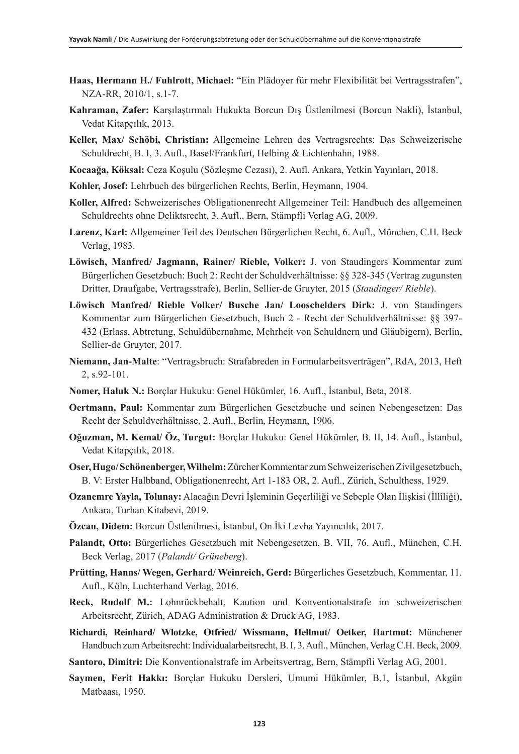- **Haas, Hermann H./ Fuhlrott, Michael:** "Ein Plädoyer für mehr Flexibilität bei Vertragsstrafen", NZA-RR, 2010/1, s.1-7.
- **Kahraman, Zafer:** Karşılaştırmalı Hukukta Borcun Dış Üstlenilmesi (Borcun Nakli), İstanbul, Vedat Kitapçılık, 2013.
- **Keller, Max/ Schöbi, Christian:** Allgemeine Lehren des Vertragsrechts: Das Schweizerische Schuldrecht, B. I, 3. Aufl., Basel/Frankfurt, Helbing & Lichtenhahn, 1988.
- **Kocaağa, Köksal:** Ceza Koşulu (Sözleşme Cezası), 2. Aufl. Ankara, Yetkin Yayınları, 2018.
- **Kohler, Josef:** Lehrbuch des bürgerlichen Rechts, Berlin, Heymann, 1904.
- **Koller, Alfred:** Schweizerisches Obligationenrecht Allgemeiner Teil: Handbuch des allgemeinen Schuldrechts ohne Deliktsrecht, 3. Aufl., Bern, Stämpfli Verlag AG, 2009.
- **Larenz, Karl:** Allgemeiner Teil des Deutschen Bürgerlichen Recht, 6. Aufl., München, C.H. Beck Verlag, 1983.
- **Löwisch, Manfred/ Jagmann, Rainer/ Rieble, Volker:** J. von Staudingers Kommentar zum Bürgerlichen Gesetzbuch: Buch 2: Recht der Schuldverhältnisse: §§ 328-345 (Vertrag zugunsten Dritter, Draufgabe, Vertragsstrafe), Berlin, Sellier-de Gruyter, 2015 (*Staudinger/ Rieble*).
- **Löwisch Manfred/ Rieble Volker/ Busche Jan/ Looschelders Dirk:** J. von Staudingers Kommentar zum Bürgerlichen Gesetzbuch, Buch 2 - Recht der Schuldverhältnisse: §§ 397- 432 (Erlass, Abtretung, Schuldübernahme, Mehrheit von Schuldnern und Gläubigern), Berlin, Sellier-de Gruyter, 2017.
- **Niemann, Jan-Malte**: "Vertragsbruch: Strafabreden in Formularbeitsverträgen", RdA, 2013, Heft 2, s.92-101.
- **Nomer, Haluk N.:** Borçlar Hukuku: Genel Hükümler, 16. Aufl., İstanbul, Beta, 2018.
- **Oertmann, Paul:** Kommentar zum Bürgerlichen Gesetzbuche und seinen Nebengesetzen: Das Recht der Schuldverhältnisse, 2. Aufl., Berlin, Heymann, 1906.
- **Oğuzman, M. Kemal/ Öz, Turgut:** Borçlar Hukuku: Genel Hükümler, B. II, 14. Aufl., İstanbul, Vedat Kitapçılık, 2018.
- **Oser, Hugo/ Schönenberger, Wilhelm:** Zürcher Kommentar zum Schweizerischen Zivilgesetzbuch, B. V: Erster Halbband, Obligationenrecht, Art 1-183 OR, 2. Aufl., Zürich, Schulthess, 1929.
- **Ozanemre Yayla, Tolunay:** Alacağın Devri İşleminin Geçerliliği ve Sebeple Olan İlişkisi (İllîliği), Ankara, Turhan Kitabevi, 2019.
- **Özcan, Didem:** Borcun Üstlenilmesi, İstanbul, On İki Levha Yayıncılık, 2017.
- **Palandt, Otto:** Bürgerliches Gesetzbuch mit Nebengesetzen, B. VII, 76. Aufl., München, C.H. Beck Verlag, 2017 (*Palandt/ Grüneberg*).
- **Prütting, Hanns/ Wegen, Gerhard/ Weinreich, Gerd:** Bürgerliches Gesetzbuch, Kommentar, 11. Aufl., Köln, Luchterhand Verlag, 2016.
- **Reck, Rudolf M.:** Lohnrückbehalt, Kaution und Konventionalstrafe im schweizerischen Arbeitsrecht, Zürich, ADAG Administration & Druck AG, 1983.
- **Richardi, Reinhard/ Wlotzke, Otfried/ Wissmann, Hellmut/ Oetker, Hartmut:** Münchener Handbuch zum Arbeitsrecht: Individualarbeitsrecht, B. I, 3. Aufl., München, Verlag C.H. Beck, 2009.
- **Santoro, Dimitri:** Die Konventionalstrafe im Arbeitsvertrag, Bern, Stämpfli Verlag AG, 2001.
- **Saymen, Ferit Hakkı:** Borçlar Hukuku Dersleri, Umumi Hükümler, B.1, İstanbul, Akgün Matbaası, 1950.